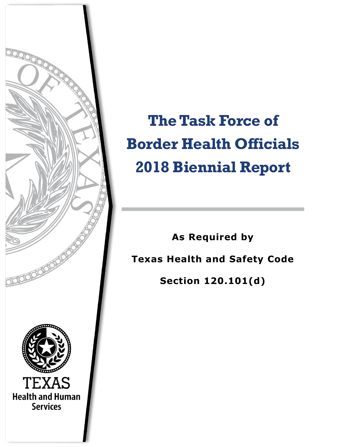

**The Task Force of Border Health Officials 2018 Biennial Report**

**As Required by Texas Health and Safety Code Section 120.101(d)**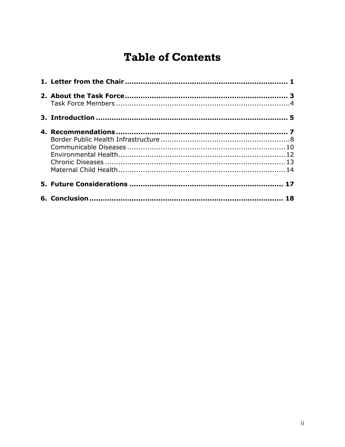# **Table of Contents**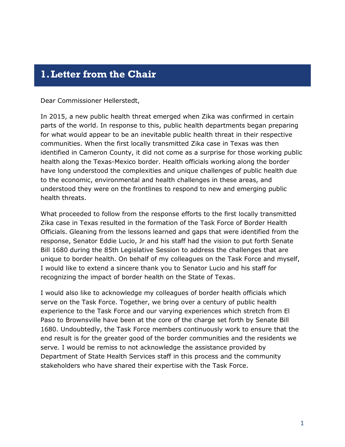### <span id="page-2-0"></span>**1.Letter from the Chair**

Dear Commissioner Hellerstedt,

In 2015, a new public health threat emerged when Zika was confirmed in certain parts of the world. In response to this, public health departments began preparing for what would appear to be an inevitable public health threat in their respective communities. When the first locally transmitted Zika case in Texas was then identified in Cameron County, it did not come as a surprise for those working public health along the Texas-Mexico border. Health officials working along the border have long understood the complexities and unique challenges of public health due to the economic, environmental and health challenges in these areas, and understood they were on the frontlines to respond to new and emerging public health threats.

What proceeded to follow from the response efforts to the first locally transmitted Zika case in Texas resulted in the formation of the Task Force of Border Health Officials. Gleaning from the lessons learned and gaps that were identified from the response, Senator Eddie Lucio, Jr and his staff had the vision to put forth Senate Bill 1680 during the 85th Legislative Session to address the challenges that are unique to border health. On behalf of my colleagues on the Task Force and myself, I would like to extend a sincere thank you to Senator Lucio and his staff for recognizing the impact of border health on the State of Texas.

I would also like to acknowledge my colleagues of border health officials which serve on the Task Force. Together, we bring over a century of public health experience to the Task Force and our varying experiences which stretch from El Paso to Brownsville have been at the core of the charge set forth by Senate Bill 1680. Undoubtedly, the Task Force members continuously work to ensure that the end result is for the greater good of the border communities and the residents we serve. I would be remiss to not acknowledge the assistance provided by Department of State Health Services staff in this process and the community stakeholders who have shared their expertise with the Task Force.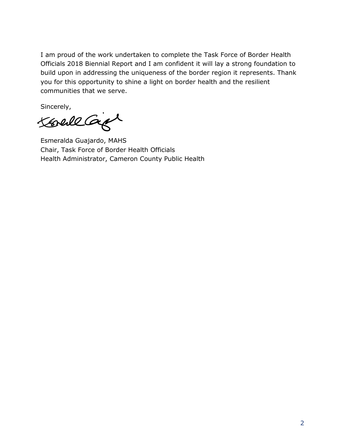I am proud of the work undertaken to complete the Task Force of Border Health Officials 2018 Biennial Report and I am confident it will lay a strong foundation to build upon in addressing the uniqueness of the border region it represents. Thank you for this opportunity to shine a light on border health and the resilient communities that we serve.

Sincerely,

Koreall Carpt

Esmeralda Guajardo, MAHS Chair, Task Force of Border Health Officials Health Administrator, Cameron County Public Health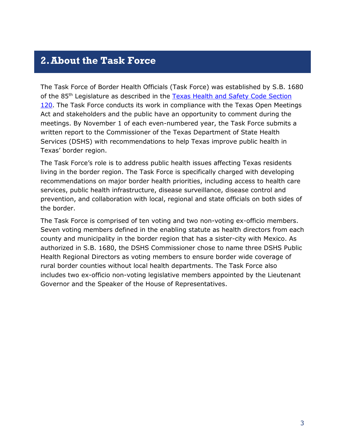### <span id="page-4-0"></span>**2.About the Task Force**

The Task Force of Border Health Officials (Task Force) was established by S.B. 1680 of the 85<sup>th</sup> Legislature as described in the Texas Health and Safety Code Section [120.](https://statutes.capitol.texas.gov/Docs/HS/htm/HS.120.htm) The Task Force conducts its work in compliance with the Texas Open Meetings Act and stakeholders and the public have an opportunity to comment during the meetings. By November 1 of each even-numbered year, the Task Force submits a written report to the Commissioner of the Texas Department of State Health Services (DSHS) with recommendations to help Texas improve public health in Texas' border region.

The Task Force's role is to address public health issues affecting Texas residents living in the border region. The Task Force is specifically charged with developing recommendations on major border health priorities, including access to health care services, public health infrastructure, disease surveillance, disease control and prevention, and collaboration with local, regional and state officials on both sides of the border.

The Task Force is comprised of ten voting and two non-voting ex-officio members. Seven voting members defined in the enabling statute as health directors from each county and municipality in the border region that has a sister-city with Mexico. As authorized in S.B. 1680, the DSHS Commissioner chose to name three DSHS Public Health Regional Directors as voting members to ensure border wide coverage of rural border counties without local health departments. The Task Force also includes two ex-officio non-voting legislative members appointed by the Lieutenant Governor and the Speaker of the House of Representatives.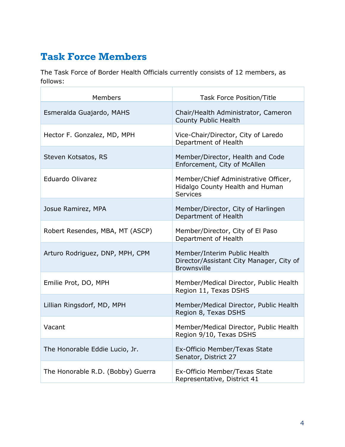# <span id="page-5-0"></span>**Task Force Members**

The Task Force of Border Health Officials currently consists of 12 members, as follows:

| <b>Members</b>                    | <b>Task Force Position/Title</b>                                                               |
|-----------------------------------|------------------------------------------------------------------------------------------------|
| Esmeralda Guajardo, MAHS          | Chair/Health Administrator, Cameron<br><b>County Public Health</b>                             |
| Hector F. Gonzalez, MD, MPH       | Vice-Chair/Director, City of Laredo<br>Department of Health                                    |
| Steven Kotsatos, RS               | Member/Director, Health and Code<br>Enforcement, City of McAllen                               |
| Eduardo Olivarez                  | Member/Chief Administrative Officer,<br>Hidalgo County Health and Human<br><b>Services</b>     |
| Josue Ramirez, MPA                | Member/Director, City of Harlingen<br>Department of Health                                     |
| Robert Resendes, MBA, MT (ASCP)   | Member/Director, City of El Paso<br>Department of Health                                       |
| Arturo Rodriguez, DNP, MPH, CPM   | Member/Interim Public Health<br>Director/Assistant City Manager, City of<br><b>Brownsville</b> |
| Emilie Prot, DO, MPH              | Member/Medical Director, Public Health<br>Region 11, Texas DSHS                                |
| Lillian Ringsdorf, MD, MPH        | Member/Medical Director, Public Health<br>Region 8, Texas DSHS                                 |
| Vacant                            | Member/Medical Director, Public Health<br>Region 9/10, Texas DSHS                              |
| The Honorable Eddie Lucio, Jr.    | Ex-Officio Member/Texas State<br>Senator, District 27                                          |
| The Honorable R.D. (Bobby) Guerra | Ex-Officio Member/Texas State<br>Representative, District 41                                   |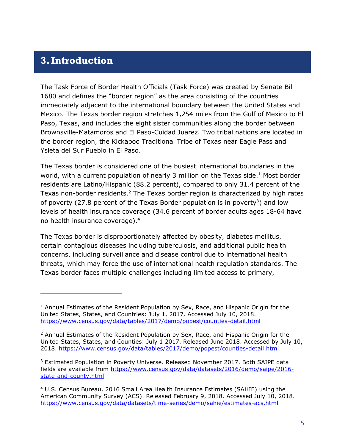### <span id="page-6-0"></span>**3.Introduction**

j

The Task Force of Border Health Officials (Task Force) was created by Senate Bill 1680 and defines the "border region" as the area consisting of the countries immediately adjacent to the international boundary between the United States and Mexico. The Texas border region stretches 1,254 miles from the Gulf of Mexico to El Paso, Texas, and includes the eight sister communities along the border between Brownsville-Matamoros and El Paso-Cuidad Juarez. Two tribal nations are located in the border region, the Kickapoo Traditional Tribe of Texas near Eagle Pass and Ysleta del Sur Pueblo in El Paso.

The Texas border is considered one of the busiest international boundaries in the world, with a current population of nearly 3 million on the Texas side.<sup>1</sup> Most border residents are Latino/Hispanic (88.2 percent), compared to only 31.4 percent of the Texas non-border residents. $2$  The Texas border region is characterized by high rates of poverty (27.8 percent of the Texas Border population is in poverty<sup>3</sup>) and low levels of health insurance coverage (34.6 percent of border adults ages 18-64 have no health insurance coverage).<sup>4</sup>

The Texas border is disproportionately affected by obesity, diabetes mellitus, certain contagious diseases including tuberculosis, and additional public health concerns, including surveillance and disease control due to international health threats, which may force the use of international health regulation standards. The Texas border faces multiple challenges including limited access to primary,

<sup>&</sup>lt;sup>1</sup> Annual Estimates of the Resident Population by Sex, Race, and Hispanic Origin for the United States, States, and Countries: July 1, 2017. Accessed July 10, 2018. <https://www.census.gov/data/tables/2017/demo/popest/counties-detail.html>

 $2$  Annual Estimates of the Resident Population by Sex, Race, and Hispanic Origin for the United States, States, and Counties: July 1 2017. Released June 2018. Accessed by July 10, 2018.<https://www.census.gov/data/tables/2017/demo/popest/counties-detail.html>

<sup>&</sup>lt;sup>3</sup> Estimated Population in Poverty Universe. Released November 2017. Both SAIPE data fields are available from [https://www.census.gov/data/datasets/2016/demo/saipe/2016](https://www.census.gov/data/datasets/2016/demo/saipe/2016-state-and-county.html) [state-and-county.html](https://www.census.gov/data/datasets/2016/demo/saipe/2016-state-and-county.html)

<sup>4</sup> U.S. Census Bureau, 2016 Small Area Health Insurance Estimates (SAHIE) using the American Community Survey (ACS). Released February 9, 2018. Accessed July 10, 2018. <https://www.census.gov/data/datasets/time-series/demo/sahie/estimates-acs.html>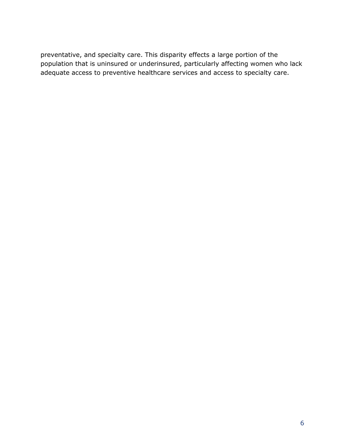preventative, and specialty care. This disparity effects a large portion of the population that is uninsured or underinsured, particularly affecting women who lack adequate access to preventive healthcare services and access to specialty care.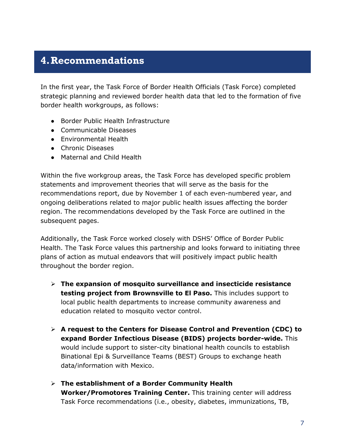# <span id="page-8-0"></span>**4.Recommendations**

In the first year, the Task Force of Border Health Officials (Task Force) completed strategic planning and reviewed border health data that led to the formation of five border health workgroups, as follows:

- Border Public Health Infrastructure
- Communicable Diseases
- Environmental Health
- Chronic Diseases
- Maternal and Child Health

Within the five workgroup areas, the Task Force has developed specific problem statements and improvement theories that will serve as the basis for the recommendations report, due by November 1 of each even-numbered year, and ongoing deliberations related to major public health issues affecting the border region. The recommendations developed by the Task Force are outlined in the subsequent pages.

Additionally, the Task Force worked closely with DSHS' Office of Border Public Health. The Task Force values this partnership and looks forward to initiating three plans of action as mutual endeavors that will positively impact public health throughout the border region.

- **The expansion of mosquito surveillance and insecticide resistance testing project from Brownsville to El Paso.** This includes support to local public health departments to increase community awareness and education related to mosquito vector control.
- **A request to the Centers for Disease Control and Prevention (CDC) to expand Border Infectious Disease (BIDS) projects border-wide.** This would include support to sister-city binational health councils to establish Binational Epi & Surveillance Teams (BEST) Groups to exchange heath data/information with Mexico.
- **The establishment of a Border Community Health Worker/Promotores Training Center.** This training center will address Task Force recommendations (i.e., obesity, diabetes, immunizations, TB,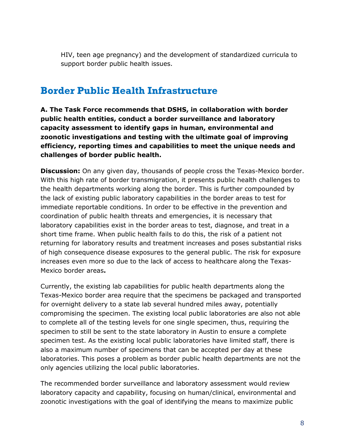HIV, teen age pregnancy) and the development of standardized curricula to support border public health issues.

## <span id="page-9-0"></span>**Border Public Health Infrastructure**

**A. The Task Force recommends that DSHS, in collaboration with border public health entities, conduct a border surveillance and laboratory capacity assessment to identify gaps in human, environmental and zoonotic investigations and testing with the ultimate goal of improving efficiency, reporting times and capabilities to meet the unique needs and challenges of border public health.**

**Discussion:** On any given day, thousands of people cross the Texas-Mexico border. With this high rate of border transmigration, it presents public health challenges to the health departments working along the border. This is further compounded by the lack of existing public laboratory capabilities in the border areas to test for immediate reportable conditions. In order to be effective in the prevention and coordination of public health threats and emergencies, it is necessary that laboratory capabilities exist in the border areas to test, diagnose, and treat in a short time frame. When public health fails to do this, the risk of a patient not returning for laboratory results and treatment increases and poses substantial risks of high consequence disease exposures to the general public. The risk for exposure increases even more so due to the lack of access to healthcare along the Texas-Mexico border areas**.** 

Currently, the existing lab capabilities for public health departments along the Texas-Mexico border area require that the specimens be packaged and transported for overnight delivery to a state lab several hundred miles away, potentially compromising the specimen. The existing local public laboratories are also not able to complete all of the testing levels for one single specimen, thus, requiring the specimen to still be sent to the state laboratory in Austin to ensure a complete specimen test. As the existing local public laboratories have limited staff, there is also a maximum number of specimens that can be accepted per day at these laboratories. This poses a problem as border public health departments are not the only agencies utilizing the local public laboratories.

The recommended border surveillance and laboratory assessment would review laboratory capacity and capability, focusing on human/clinical, environmental and zoonotic investigations with the goal of identifying the means to maximize public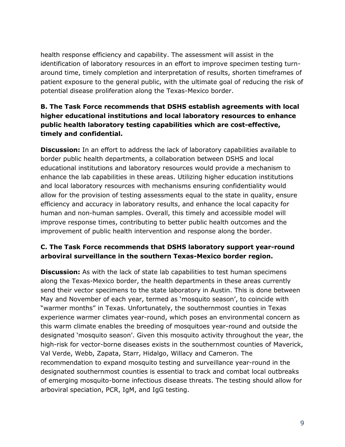health response efficiency and capability. The assessment will assist in the identification of laboratory resources in an effort to improve specimen testing turnaround time, timely completion and interpretation of results, shorten timeframes of patient exposure to the general public, with the ultimate goal of reducing the risk of potential disease proliferation along the Texas-Mexico border.

#### **B. The Task Force recommends that DSHS establish agreements with local higher educational institutions and local laboratory resources to enhance public health laboratory testing capabilities which are cost-effective, timely and confidential.**

**Discussion:** In an effort to address the lack of laboratory capabilities available to border public health departments, a collaboration between DSHS and local educational institutions and laboratory resources would provide a mechanism to enhance the lab capabilities in these areas. Utilizing higher education institutions and local laboratory resources with mechanisms ensuring confidentiality would allow for the provision of testing assessments equal to the state in quality, ensure efficiency and accuracy in laboratory results, and enhance the local capacity for human and non-human samples. Overall, this timely and accessible model will improve response times, contributing to better public health outcomes and the improvement of public health intervention and response along the border.

#### **C. The Task Force recommends that DSHS laboratory support year-round arboviral surveillance in the southern Texas-Mexico border region.**

**Discussion:** As with the lack of state lab capabilities to test human specimens along the Texas-Mexico border, the health departments in these areas currently send their vector specimens to the state laboratory in Austin. This is done between May and November of each year, termed as 'mosquito season', to coincide with "warmer months" in Texas. Unfortunately, the southernmost counties in Texas experience warmer climates year-round, which poses an environmental concern as this warm climate enables the breeding of mosquitoes year-round and outside the designated 'mosquito season'. Given this mosquito activity throughout the year, the high-risk for vector-borne diseases exists in the southernmost counties of Maverick, Val Verde, Webb, Zapata, Starr, Hidalgo, Willacy and Cameron. The recommendation to expand mosquito testing and surveillance year-round in the designated southernmost counties is essential to track and combat local outbreaks of emerging mosquito-borne infectious disease threats. The testing should allow for arboviral speciation, PCR, IgM, and IgG testing.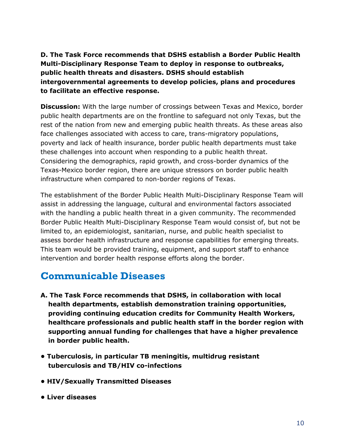**D. The Task Force recommends that DSHS establish a Border Public Health Multi-Disciplinary Response Team to deploy in response to outbreaks, public health threats and disasters. DSHS should establish intergovernmental agreements to develop policies, plans and procedures to facilitate an effective response.** 

**Discussion:** With the large number of crossings between Texas and Mexico, border public health departments are on the frontline to safeguard not only Texas, but the rest of the nation from new and emerging public health threats. As these areas also face challenges associated with access to care, trans-migratory populations, poverty and lack of health insurance, border public health departments must take these challenges into account when responding to a public health threat. Considering the demographics, rapid growth, and cross-border dynamics of the Texas-Mexico border region, there are unique stressors on border public health infrastructure when compared to non-border regions of Texas.

The establishment of the Border Public Health Multi-Disciplinary Response Team will assist in addressing the language, cultural and environmental factors associated with the handling a public health threat in a given community. The recommended Border Public Health Multi-Disciplinary Response Team would consist of, but not be limited to, an epidemiologist, sanitarian, nurse, and public health specialist to assess border health infrastructure and response capabilities for emerging threats. This team would be provided training, equipment, and support staff to enhance intervention and border health response efforts along the border.

# <span id="page-11-0"></span>**Communicable Diseases**

- **A. The Task Force recommends that DSHS, in collaboration with local health departments, establish demonstration training opportunities, providing continuing education credits for Community Health Workers, healthcare professionals and public health staff in the border region with supporting annual funding for challenges that have a higher prevalence in border public health.**
- **Tuberculosis, in particular TB meningitis, multidrug resistant tuberculosis and TB/HIV co-infections**
- **HIV/Sexually Transmitted Diseases**
- **Liver diseases**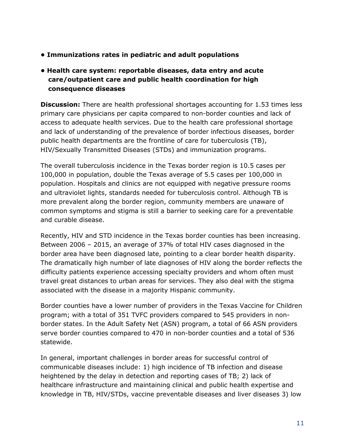- **Immunizations rates in pediatric and adult populations**
- **Health care system: reportable diseases, data entry and acute care/outpatient care and public health coordination for high consequence diseases**

**Discussion:** There are health professional shortages accounting for 1.53 times less primary care physicians per capita compared to non-border counties and lack of access to adequate health services. Due to the health care professional shortage and lack of understanding of the prevalence of border infectious diseases, border public health departments are the frontline of care for tuberculosis (TB), HIV/Sexually Transmitted Diseases (STDs) and immunization programs.

The overall tuberculosis incidence in the Texas border region is 10.5 cases per 100,000 in population, double the Texas average of 5.5 cases per 100,000 in population. Hospitals and clinics are not equipped with negative pressure rooms and ultraviolet lights, standards needed for tuberculosis control. Although TB is more prevalent along the border region, community members are unaware of common symptoms and stigma is still a barrier to seeking care for a preventable and curable disease.

Recently, HIV and STD incidence in the Texas border counties has been increasing. Between 2006 – 2015, an average of 37% of total HIV cases diagnosed in the border area have been diagnosed late, pointing to a clear border health disparity. The dramatically high number of late diagnoses of HIV along the border reflects the difficulty patients experience accessing specialty providers and whom often must travel great distances to urban areas for services. They also deal with the stigma associated with the disease in a majority Hispanic community.

Border counties have a lower number of providers in the Texas Vaccine for Children program; with a total of 351 TVFC providers compared to 545 providers in nonborder states. In the Adult Safety Net (ASN) program, a total of 66 ASN providers serve border counties compared to 470 in non-border counties and a total of 536 statewide.

In general, important challenges in border areas for successful control of communicable diseases include: 1) high incidence of TB infection and disease heightened by the delay in detection and reporting cases of TB; 2) lack of healthcare infrastructure and maintaining clinical and public health expertise and knowledge in TB, HIV/STDs, vaccine preventable diseases and liver diseases 3) low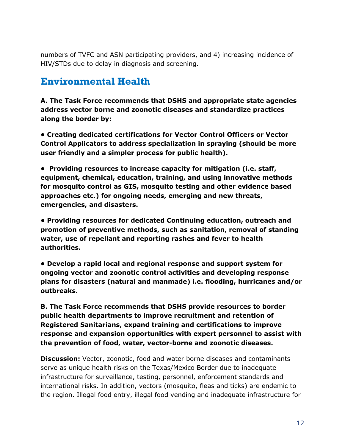numbers of TVFC and ASN participating providers, and 4) increasing incidence of HIV/STDs due to delay in diagnosis and screening.

### <span id="page-13-0"></span>**Environmental Health**

**A. The Task Force recommends that DSHS and appropriate state agencies address vector borne and zoonotic diseases and standardize practices along the border by:**

**• Creating dedicated certifications for Vector Control Officers or Vector Control Applicators to address specialization in spraying (should be more user friendly and a simpler process for public health).**

**• Providing resources to increase capacity for mitigation (i.e. staff, equipment, chemical, education, training, and using innovative methods for mosquito control as GIS, mosquito testing and other evidence based approaches etc.) for ongoing needs, emerging and new threats, emergencies, and disasters.** 

**• Providing resources for dedicated Continuing education, outreach and promotion of preventive methods, such as sanitation, removal of standing water, use of repellant and reporting rashes and fever to health authorities.** 

**• Develop a rapid local and regional response and support system for ongoing vector and zoonotic control activities and developing response plans for disasters (natural and manmade) i.e. flooding, hurricanes and/or outbreaks.**

**B. The Task Force recommends that DSHS provide resources to border public health departments to improve recruitment and retention of Registered Sanitarians, expand training and certifications to improve response and expansion opportunities with expert personnel to assist with the prevention of food, water, vector-borne and zoonotic diseases.**

**Discussion:** Vector, zoonotic, food and water borne diseases and contaminants serve as unique health risks on the Texas/Mexico Border due to inadequate infrastructure for surveillance, testing, personnel, enforcement standards and international risks. In addition, vectors (mosquito, fleas and ticks) are endemic to the region. Illegal food entry, illegal food vending and inadequate infrastructure for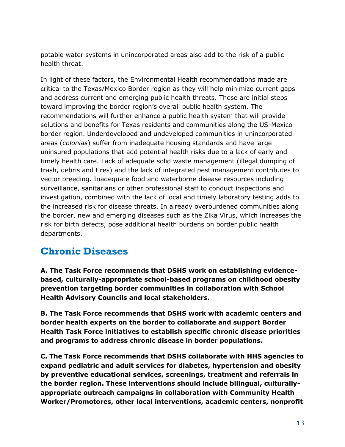potable water systems in unincorporated areas also add to the risk of a public health threat.

In light of these factors, the Environmental Health recommendations made are critical to the Texas/Mexico Border region as they will help minimize current gaps and address current and emerging public health threats. These are initial steps toward improving the border region's overall public health system. The recommendations will further enhance a public health system that will provide solutions and benefits for Texas residents and communities along the US-Mexico border region. Underdeveloped and undeveloped communities in unincorporated areas (*colonias*) suffer from inadequate housing standards and have large uninsured populations that add potential health risks due to a lack of early and timely health care. Lack of adequate solid waste management (illegal dumping of trash, debris and tires) and the lack of integrated pest management contributes to vector breeding. Inadequate food and waterborne disease resources including surveillance, sanitarians or other professional staff to conduct inspections and investigation, combined with the lack of local and timely laboratory testing adds to the increased risk for disease threats. In already overburdened communities along the border, new and emerging diseases such as the Zika Virus, which increases the risk for birth defects, pose additional health burdens on border public health departments.

# <span id="page-14-0"></span>**Chronic Diseases**

**A. The Task Force recommends that DSHS work on establishing evidencebased, culturally-appropriate school-based programs on childhood obesity prevention targeting border communities in collaboration with School Health Advisory Councils and local stakeholders.** 

**B. The Task Force recommends that DSHS work with academic centers and border health experts on the border to collaborate and support Border Health Task Force initiatives to establish specific chronic disease priorities and programs to address chronic disease in border populations.**

**C. The Task Force recommends that DSHS collaborate with HHS agencies to expand pediatric and adult services for diabetes, hypertension and obesity by preventive educational services, screenings, treatment and referrals in the border region. These interventions should include bilingual, culturallyappropriate outreach campaigns in collaboration with Community Health Worker/Promotores, other local interventions, academic centers, nonprofit**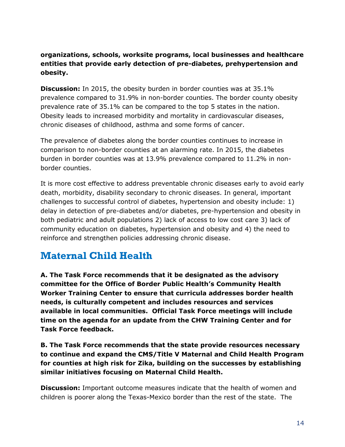#### **organizations, schools, worksite programs, local businesses and healthcare entities that provide early detection of pre-diabetes, prehypertension and obesity.**

**Discussion:** In 2015, the obesity burden in border counties was at 35.1% prevalence compared to 31.9% in non-border counties. The border county obesity prevalence rate of 35.1% can be compared to the top 5 states in the nation. Obesity leads to increased morbidity and mortality in cardiovascular diseases, chronic diseases of childhood, asthma and some forms of cancer.

The prevalence of diabetes along the border counties continues to increase in comparison to non-border counties at an alarming rate. In 2015, the diabetes burden in border counties was at 13.9% prevalence compared to 11.2% in nonborder counties.

It is more cost effective to address preventable chronic diseases early to avoid early death, morbidity, disability secondary to chronic diseases. In general, important challenges to successful control of diabetes, hypertension and obesity include: 1) delay in detection of pre-diabetes and/or diabetes, pre-hypertension and obesity in both pediatric and adult populations 2) lack of access to low cost care 3) lack of community education on diabetes, hypertension and obesity and 4) the need to reinforce and strengthen policies addressing chronic disease.

# <span id="page-15-0"></span>**Maternal Child Health**

**A. The Task Force recommends that it be designated as the advisory committee for the Office of Border Public Health's Community Health Worker Training Center to ensure that curricula addresses border health needs, is culturally competent and includes resources and services available in local communities. Official Task Force meetings will include time on the agenda for an update from the CHW Training Center and for Task Force feedback.**

**B. The Task Force recommends that the state provide resources necessary to continue and expand the CMS/Title V Maternal and Child Health Program for counties at high risk for Zika, building on the successes by establishing similar initiatives focusing on Maternal Child Health.**

**Discussion:** Important outcome measures indicate that the health of women and children is poorer along the Texas-Mexico border than the rest of the state. The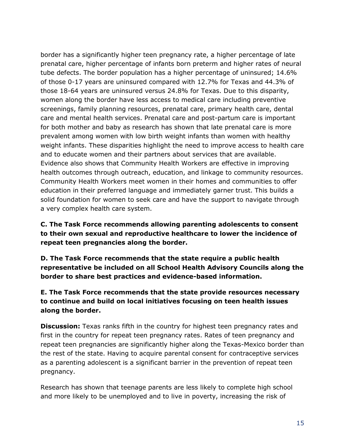border has a significantly higher teen pregnancy rate, a higher percentage of late prenatal care, higher percentage of infants born preterm and higher rates of neural tube defects. The border population has a higher percentage of uninsured; 14.6% of those 0-17 years are uninsured compared with 12.7% for Texas and 44.3% of those 18-64 years are uninsured versus 24.8% for Texas. Due to this disparity, women along the border have less access to medical care including preventive screenings, family planning resources, prenatal care, primary health care, dental care and mental health services. Prenatal care and post-partum care is important for both mother and baby as research has shown that late prenatal care is more prevalent among women with low birth weight infants than women with healthy weight infants. These disparities highlight the need to improve access to health care and to educate women and their partners about services that are available. Evidence also shows that Community Health Workers are effective in improving health outcomes through outreach, education, and linkage to community resources. Community Health Workers meet women in their homes and communities to offer education in their preferred language and immediately garner trust. This builds a solid foundation for women to seek care and have the support to navigate through a very complex health care system.

**C. The Task Force recommends allowing parenting adolescents to consent to their own sexual and reproductive healthcare to lower the incidence of repeat teen pregnancies along the border.**

**D. The Task Force recommends that the state require a public health representative be included on all School Health Advisory Councils along the border to share best practices and evidence-based information.**

**E. The Task Force recommends that the state provide resources necessary to continue and build on local initiatives focusing on teen health issues along the border.**

**Discussion:** Texas ranks fifth in the country for highest teen pregnancy rates and first in the country for repeat teen pregnancy rates. Rates of teen pregnancy and repeat teen pregnancies are significantly higher along the Texas-Mexico border than the rest of the state. Having to acquire parental consent for contraceptive services as a parenting adolescent is a significant barrier in the prevention of repeat teen pregnancy.

Research has shown that teenage parents are less likely to complete high school and more likely to be unemployed and to live in poverty, increasing the risk of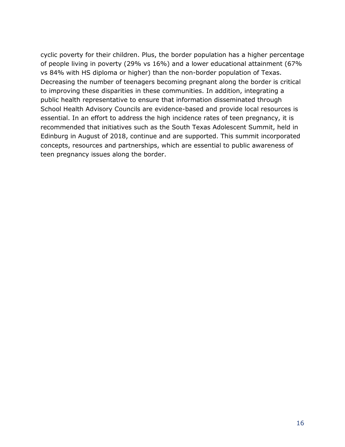cyclic poverty for their children. Plus, the border population has a higher percentage of people living in poverty (29% vs 16%) and a lower educational attainment (67% vs 84% with HS diploma or higher) than the non-border population of Texas. Decreasing the number of teenagers becoming pregnant along the border is critical to improving these disparities in these communities. In addition, integrating a public health representative to ensure that information disseminated through School Health Advisory Councils are evidence-based and provide local resources is essential. In an effort to address the high incidence rates of teen pregnancy, it is recommended that initiatives such as the South Texas Adolescent Summit, held in Edinburg in August of 2018, continue and are supported. This summit incorporated concepts, resources and partnerships, which are essential to public awareness of teen pregnancy issues along the border.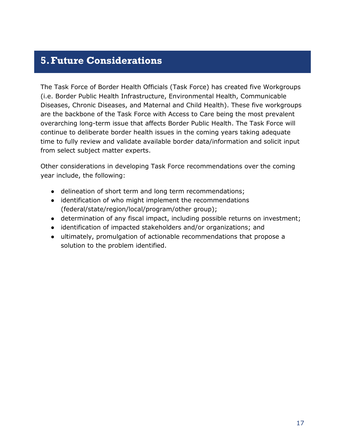### <span id="page-18-0"></span>**5.Future Considerations**

The Task Force of Border Health Officials (Task Force) has created five Workgroups (i.e. Border Public Health Infrastructure, Environmental Health, Communicable Diseases, Chronic Diseases, and Maternal and Child Health). These five workgroups are the backbone of the Task Force with Access to Care being the most prevalent overarching long-term issue that affects Border Public Health. The Task Force will continue to deliberate border health issues in the coming years taking adequate time to fully review and validate available border data/information and solicit input from select subject matter experts.

Other considerations in developing Task Force recommendations over the coming year include, the following:

- delineation of short term and long term recommendations;
- identification of who might implement the recommendations (federal/state/region/local/program/other group);
- determination of any fiscal impact, including possible returns on investment;
- identification of impacted stakeholders and/or organizations; and
- ultimately, promulgation of actionable recommendations that propose a solution to the problem identified.